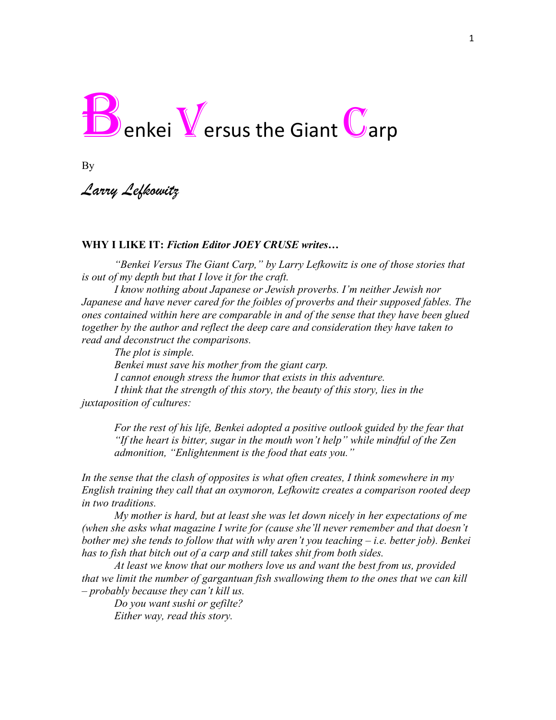

By

*Larry Lefkowitz*

## **WHY I LIKE IT:** *Fiction Editor JOEY CRUSE writes…*

*"Benkei Versus The Giant Carp," by Larry Lefkowitz is one of those stories that is out of my depth but that I love it for the craft.* 

*I know nothing about Japanese or Jewish proverbs. I'm neither Jewish nor Japanese and have never cared for the foibles of proverbs and their supposed fables. The ones contained within here are comparable in and of the sense that they have been glued together by the author and reflect the deep care and consideration they have taken to read and deconstruct the comparisons.*

*The plot is simple. Benkei must save his mother from the giant carp. I cannot enough stress the humor that exists in this adventure. I think that the strength of this story, the beauty of this story, lies in the juxtaposition of cultures:*

*For the rest of his life, Benkei adopted a positive outlook guided by the fear that "If the heart is bitter, sugar in the mouth won't help" while mindful of the Zen admonition, "Enlightenment is the food that eats you."*

*In the sense that the clash of opposites is what often creates, I think somewhere in my English training they call that an oxymoron, Lefkowitz creates a comparison rooted deep in two traditions.* 

*My mother is hard, but at least she was let down nicely in her expectations of me (when she asks what magazine I write for (cause she'll never remember and that doesn't bother me) she tends to follow that with why aren't you teaching – i.e. better job). Benkei has to fish that bitch out of a carp and still takes shit from both sides.*

*At least we know that our mothers love us and want the best from us, provided that we limit the number of gargantuan fish swallowing them to the ones that we can kill – probably because they can't kill us.* 

*Do you want sushi or gefilte? Either way, read this story.*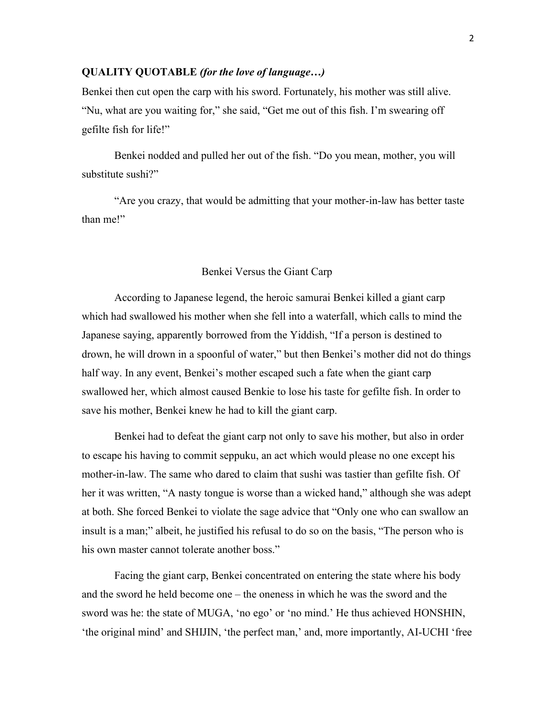## **QUALITY QUOTABLE** *(for the love of language…)*

Benkei then cut open the carp with his sword. Fortunately, his mother was still alive. "Nu, what are you waiting for," she said, "Get me out of this fish. I'm swearing off gefilte fish for life!"

Benkei nodded and pulled her out of the fish. "Do you mean, mother, you will substitute sushi?"

"Are you crazy, that would be admitting that your mother-in-law has better taste than me!"

## Benkei Versus the Giant Carp

According to Japanese legend, the heroic samurai Benkei killed a giant carp which had swallowed his mother when she fell into a waterfall, which calls to mind the Japanese saying, apparently borrowed from the Yiddish, "If a person is destined to drown, he will drown in a spoonful of water," but then Benkei's mother did not do things half way. In any event, Benkei's mother escaped such a fate when the giant carp swallowed her, which almost caused Benkie to lose his taste for gefilte fish. In order to save his mother, Benkei knew he had to kill the giant carp.

Benkei had to defeat the giant carp not only to save his mother, but also in order to escape his having to commit seppuku, an act which would please no one except his mother-in-law. The same who dared to claim that sushi was tastier than gefilte fish. Of her it was written, "A nasty tongue is worse than a wicked hand," although she was adept at both. She forced Benkei to violate the sage advice that "Only one who can swallow an insult is a man;" albeit, he justified his refusal to do so on the basis, "The person who is his own master cannot tolerate another boss."

Facing the giant carp, Benkei concentrated on entering the state where his body and the sword he held become one – the oneness in which he was the sword and the sword was he: the state of MUGA, 'no ego' or 'no mind.' He thus achieved HONSHIN, 'the original mind' and SHIJIN, 'the perfect man,' and, more importantly, AI-UCHI 'free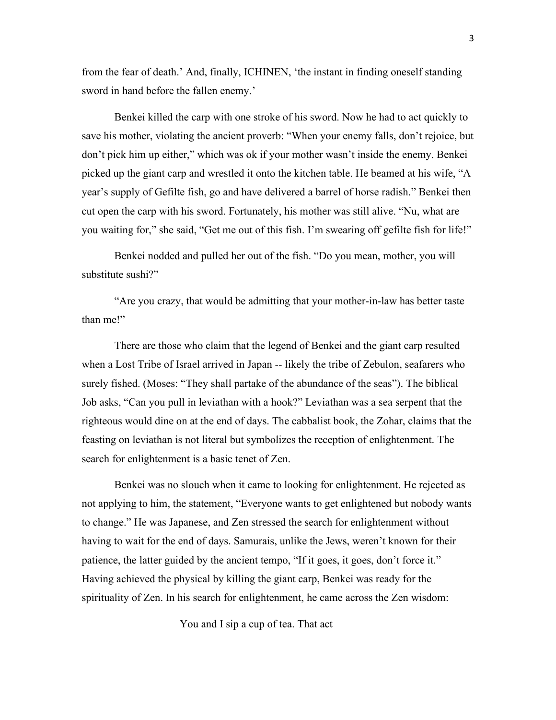from the fear of death.' And, finally, ICHINEN, 'the instant in finding oneself standing sword in hand before the fallen enemy.'

Benkei killed the carp with one stroke of his sword. Now he had to act quickly to save his mother, violating the ancient proverb: "When your enemy falls, don't rejoice, but don't pick him up either," which was ok if your mother wasn't inside the enemy. Benkei picked up the giant carp and wrestled it onto the kitchen table. He beamed at his wife, "A year's supply of Gefilte fish, go and have delivered a barrel of horse radish." Benkei then cut open the carp with his sword. Fortunately, his mother was still alive. "Nu, what are you waiting for," she said, "Get me out of this fish. I'm swearing off gefilte fish for life!"

Benkei nodded and pulled her out of the fish. "Do you mean, mother, you will substitute sushi?"

"Are you crazy, that would be admitting that your mother-in-law has better taste than me!"

There are those who claim that the legend of Benkei and the giant carp resulted when a Lost Tribe of Israel arrived in Japan -- likely the tribe of Zebulon, seafarers who surely fished. (Moses: "They shall partake of the abundance of the seas"). The biblical Job asks, "Can you pull in leviathan with a hook?" Leviathan was a sea serpent that the righteous would dine on at the end of days. The cabbalist book, the Zohar, claims that the feasting on leviathan is not literal but symbolizes the reception of enlightenment. The search for enlightenment is a basic tenet of Zen.

Benkei was no slouch when it came to looking for enlightenment. He rejected as not applying to him, the statement, "Everyone wants to get enlightened but nobody wants to change." He was Japanese, and Zen stressed the search for enlightenment without having to wait for the end of days. Samurais, unlike the Jews, weren't known for their patience, the latter guided by the ancient tempo, "If it goes, it goes, don't force it." Having achieved the physical by killing the giant carp, Benkei was ready for the spirituality of Zen. In his search for enlightenment, he came across the Zen wisdom:

You and I sip a cup of tea. That act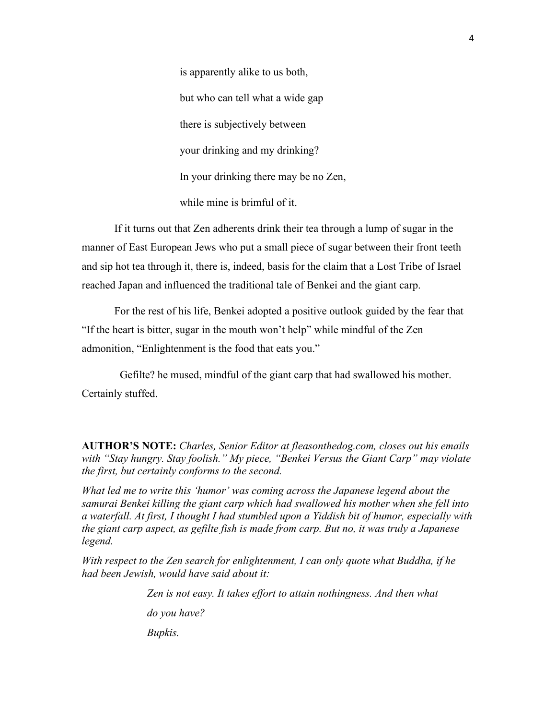is apparently alike to us both, but who can tell what a wide gap there is subjectively between your drinking and my drinking? In your drinking there may be no Zen, while mine is brimful of it.

If it turns out that Zen adherents drink their tea through a lump of sugar in the manner of East European Jews who put a small piece of sugar between their front teeth and sip hot tea through it, there is, indeed, basis for the claim that a Lost Tribe of Israel reached Japan and influenced the traditional tale of Benkei and the giant carp.

For the rest of his life, Benkei adopted a positive outlook guided by the fear that "If the heart is bitter, sugar in the mouth won't help" while mindful of the Zen admonition, "Enlightenment is the food that eats you."

Gefilte? he mused, mindful of the giant carp that had swallowed his mother. Certainly stuffed.

**AUTHOR'S NOTE:** *Charles, Senior Editor at fleasonthedog.com, closes out his emails with "Stay hungry. Stay foolish." My piece, "Benkei Versus the Giant Carp" may violate the first, but certainly conforms to the second.*

*What led me to write this 'humor' was coming across the Japanese legend about the samurai Benkei killing the giant carp which had swallowed his mother when she fell into a waterfall. At first, I thought I had stumbled upon a Yiddish bit of humor, especially with the giant carp aspect, as gefilte fish is made from carp. But no, it was truly a Japanese legend.*

*With respect to the Zen search for enlightenment, I can only quote what Buddha, if he had been Jewish, would have said about it:*

> *Zen is not easy. It takes effort to attain nothingness. And then what do you have? Bupkis.*